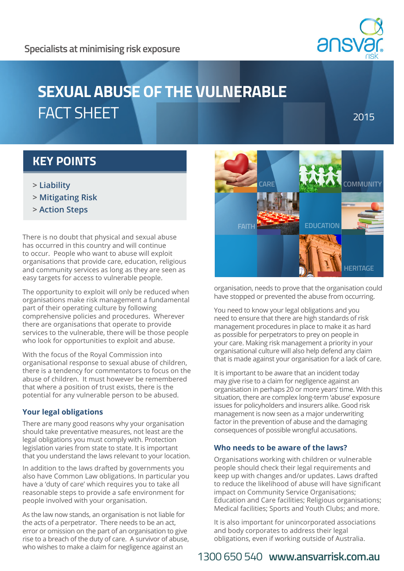# **SEXUAL ABUSE OF THE VULNERABLE**  FACT SHEET

2015

### **KEY POINTS**

- **> Liability**
- **> Mitigating Risk**
- **> Action Steps**

There is no doubt that physical and sexual abuse has occurred in this country and will continue to occur. People who want to abuse will exploit organisations that provide care, education, religious and community services as long as they are seen as easy targets for access to vulnerable people.

The opportunity to exploit will only be reduced when organisations make risk management a fundamental part of their operating culture by following comprehensive policies and procedures. Wherever there are organisations that operate to provide services to the vulnerable, there will be those people who look for opportunities to exploit and abuse.

With the focus of the Royal Commission into organisational response to sexual abuse of children, there is a tendency for commentators to focus on the abuse of children. It must however be remembered that where a position of trust exists, there is the potential for any vulnerable person to be abused.

#### **Your legal obligations**

There are many good reasons why your organisation should take preventative measures, not least are the legal obligations you must comply with. Protection legislation varies from state to state. It is important that you understand the laws relevant to your location.

In addition to the laws drafted by governments you also have Common Law obligations. In particular you have a 'duty of care' which requires you to take all reasonable steps to provide a safe environment for people involved with your organisation.

As the law now stands, an organisation is not liable for the acts of a perpetrator. There needs to be an act, error or omission on the part of an organisation to give rise to a breach of the duty of care. A survivor of abuse, who wishes to make a claim for negligence against an



organisation, needs to prove that the organisation could have stopped or prevented the abuse from occurring.

You need to know your legal obligations and you need to ensure that there are high standards of risk management procedures in place to make it as hard as possible for perpetrators to prey on people in your care. Making risk management a priority in your organisational culture will also help defend any claim that is made against your organisation for a lack of care.

It is important to be aware that an incident today may give rise to a claim for negligence against an organisation in perhaps 20 or more years' time. With this situation, there are complex long-term 'abuse' exposure issues for policyholders and insurers alike. Good risk management is now seen as a major underwriting factor in the prevention of abuse and the damaging consequences of possible wrongful accusations.

### **Who needs to be aware of the laws?**

Organisations working with children or vulnerable people should check their legal requirements and keep up with changes and/or updates. Laws drafted to reduce the likelihood of abuse will have significant impact on Community Service Organisations; Education and Care facilities; Religious organisations; Medical facilities; Sports and Youth Clubs; and more.

It is also important for unincorporated associations and body corporates to address their legal obligations, even if working outside of Australia.

## 1300 650 540 **www.ansvarrisk.com.au**